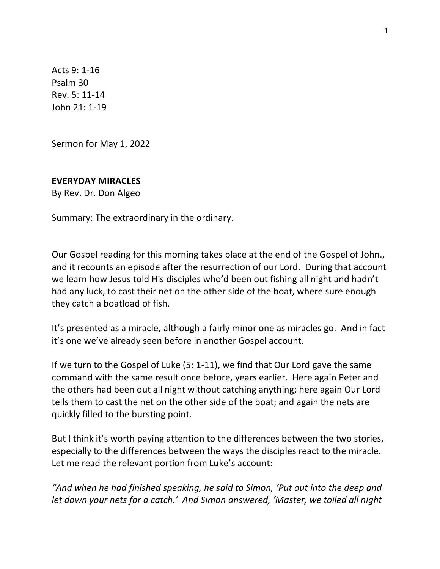Acts 9: 1-16 Psalm 30 Rev. 5: 11-14 John 21: 1-19

Sermon for May 1, 2022

## **EVERYDAY MIRACLES**

By Rev. Dr. Don Algeo

Summary: The extraordinary in the ordinary.

Our Gospel reading for this morning takes place at the end of the Gospel of John., and it recounts an episode after the resurrection of our Lord. During that account we learn how Jesus told His disciples who'd been out fishing all night and hadn't had any luck, to cast their net on the other side of the boat, where sure enough they catch a boatload of fish.

It's presented as a miracle, although a fairly minor one as miracles go. And in fact it's one we've already seen before in another Gospel account.

If we turn to the Gospel of Luke (5: 1-11), we find that Our Lord gave the same command with the same result once before, years earlier. Here again Peter and the others had been out all night without catching anything; here again Our Lord tells them to cast the net on the other side of the boat; and again the nets are quickly filled to the bursting point.

But I think it's worth paying attention to the differences between the two stories, especially to the differences between the ways the disciples react to the miracle. Let me read the relevant portion from Luke's account:

*"And when he had finished speaking, he said to Simon, 'Put out into the deep and let down your nets for a catch.' And Simon answered, 'Master, we toiled all night*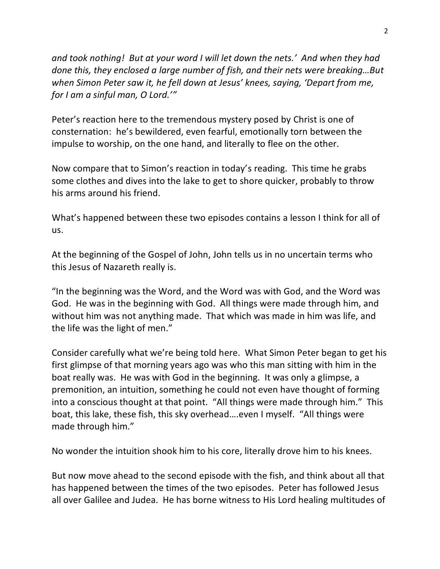*and took nothing! But at your word I will let down the nets.' And when they had done this, they enclosed a large number of fish, and their nets were breaking…But when Simon Peter saw it, he fell down at Jesus' knees, saying, 'Depart from me, for I am a sinful man, O Lord.'"*

Peter's reaction here to the tremendous mystery posed by Christ is one of consternation: he's bewildered, even fearful, emotionally torn between the impulse to worship, on the one hand, and literally to flee on the other.

Now compare that to Simon's reaction in today's reading. This time he grabs some clothes and dives into the lake to get to shore quicker, probably to throw his arms around his friend.

What's happened between these two episodes contains a lesson I think for all of us.

At the beginning of the Gospel of John, John tells us in no uncertain terms who this Jesus of Nazareth really is.

"In the beginning was the Word, and the Word was with God, and the Word was God. He was in the beginning with God. All things were made through him, and without him was not anything made. That which was made in him was life, and the life was the light of men."

Consider carefully what we're being told here. What Simon Peter began to get his first glimpse of that morning years ago was who this man sitting with him in the boat really was. He was with God in the beginning. It was only a glimpse, a premonition, an intuition, something he could not even have thought of forming into a conscious thought at that point. "All things were made through him." This boat, this lake, these fish, this sky overhead….even I myself. "All things were made through him."

No wonder the intuition shook him to his core, literally drove him to his knees.

But now move ahead to the second episode with the fish, and think about all that has happened between the times of the two episodes. Peter has followed Jesus all over Galilee and Judea. He has borne witness to His Lord healing multitudes of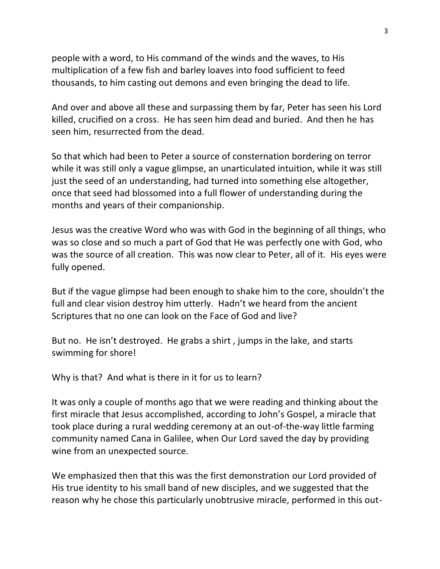people with a word, to His command of the winds and the waves, to His multiplication of a few fish and barley loaves into food sufficient to feed thousands, to him casting out demons and even bringing the dead to life.

And over and above all these and surpassing them by far, Peter has seen his Lord killed, crucified on a cross. He has seen him dead and buried. And then he has seen him, resurrected from the dead.

So that which had been to Peter a source of consternation bordering on terror while it was still only a vague glimpse, an unarticulated intuition, while it was still just the seed of an understanding, had turned into something else altogether, once that seed had blossomed into a full flower of understanding during the months and years of their companionship.

Jesus was the creative Word who was with God in the beginning of all things, who was so close and so much a part of God that He was perfectly one with God, who was the source of all creation. This was now clear to Peter, all of it. His eyes were fully opened.

But if the vague glimpse had been enough to shake him to the core, shouldn't the full and clear vision destroy him utterly. Hadn't we heard from the ancient Scriptures that no one can look on the Face of God and live?

But no. He isn't destroyed. He grabs a shirt , jumps in the lake, and starts swimming for shore!

Why is that? And what is there in it for us to learn?

It was only a couple of months ago that we were reading and thinking about the first miracle that Jesus accomplished, according to John's Gospel, a miracle that took place during a rural wedding ceremony at an out-of-the-way little farming community named Cana in Galilee, when Our Lord saved the day by providing wine from an unexpected source.

We emphasized then that this was the first demonstration our Lord provided of His true identity to his small band of new disciples, and we suggested that the reason why he chose this particularly unobtrusive miracle, performed in this out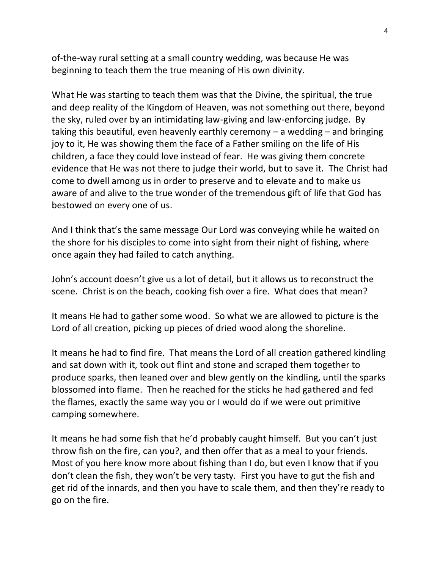of-the-way rural setting at a small country wedding, was because He was beginning to teach them the true meaning of His own divinity.

What He was starting to teach them was that the Divine, the spiritual, the true and deep reality of the Kingdom of Heaven, was not something out there, beyond the sky, ruled over by an intimidating law-giving and law-enforcing judge. By taking this beautiful, even heavenly earthly ceremony – a wedding – and bringing joy to it, He was showing them the face of a Father smiling on the life of His children, a face they could love instead of fear. He was giving them concrete evidence that He was not there to judge their world, but to save it. The Christ had come to dwell among us in order to preserve and to elevate and to make us aware of and alive to the true wonder of the tremendous gift of life that God has bestowed on every one of us.

And I think that's the same message Our Lord was conveying while he waited on the shore for his disciples to come into sight from their night of fishing, where once again they had failed to catch anything.

John's account doesn't give us a lot of detail, but it allows us to reconstruct the scene. Christ is on the beach, cooking fish over a fire. What does that mean?

It means He had to gather some wood. So what we are allowed to picture is the Lord of all creation, picking up pieces of dried wood along the shoreline.

It means he had to find fire. That means the Lord of all creation gathered kindling and sat down with it, took out flint and stone and scraped them together to produce sparks, then leaned over and blew gently on the kindling, until the sparks blossomed into flame. Then he reached for the sticks he had gathered and fed the flames, exactly the same way you or I would do if we were out primitive camping somewhere.

It means he had some fish that he'd probably caught himself. But you can't just throw fish on the fire, can you?, and then offer that as a meal to your friends. Most of you here know more about fishing than I do, but even I know that if you don't clean the fish, they won't be very tasty. First you have to gut the fish and get rid of the innards, and then you have to scale them, and then they're ready to go on the fire.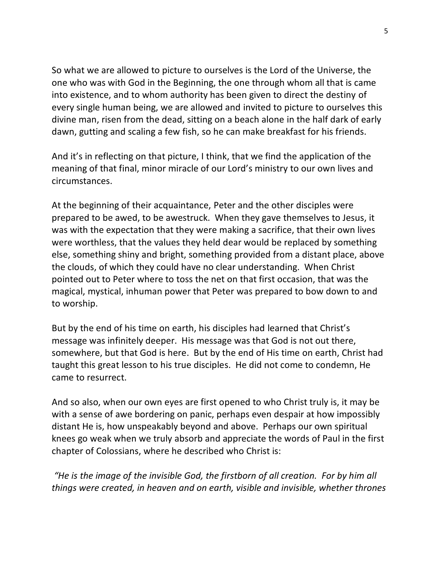So what we are allowed to picture to ourselves is the Lord of the Universe, the one who was with God in the Beginning, the one through whom all that is came into existence, and to whom authority has been given to direct the destiny of every single human being, we are allowed and invited to picture to ourselves this divine man, risen from the dead, sitting on a beach alone in the half dark of early dawn, gutting and scaling a few fish, so he can make breakfast for his friends.

And it's in reflecting on that picture, I think, that we find the application of the meaning of that final, minor miracle of our Lord's ministry to our own lives and circumstances.

At the beginning of their acquaintance, Peter and the other disciples were prepared to be awed, to be awestruck. When they gave themselves to Jesus, it was with the expectation that they were making a sacrifice, that their own lives were worthless, that the values they held dear would be replaced by something else, something shiny and bright, something provided from a distant place, above the clouds, of which they could have no clear understanding. When Christ pointed out to Peter where to toss the net on that first occasion, that was the magical, mystical, inhuman power that Peter was prepared to bow down to and to worship.

But by the end of his time on earth, his disciples had learned that Christ's message was infinitely deeper. His message was that God is not out there, somewhere, but that God is here. But by the end of His time on earth, Christ had taught this great lesson to his true disciples. He did not come to condemn, He came to resurrect.

And so also, when our own eyes are first opened to who Christ truly is, it may be with a sense of awe bordering on panic, perhaps even despair at how impossibly distant He is, how unspeakably beyond and above. Perhaps our own spiritual knees go weak when we truly absorb and appreciate the words of Paul in the first chapter of Colossians, where he described who Christ is:

*"He is the image of the invisible God, the firstborn of all creation. For by him all things were created, in heaven and on earth, visible and invisible, whether thrones*